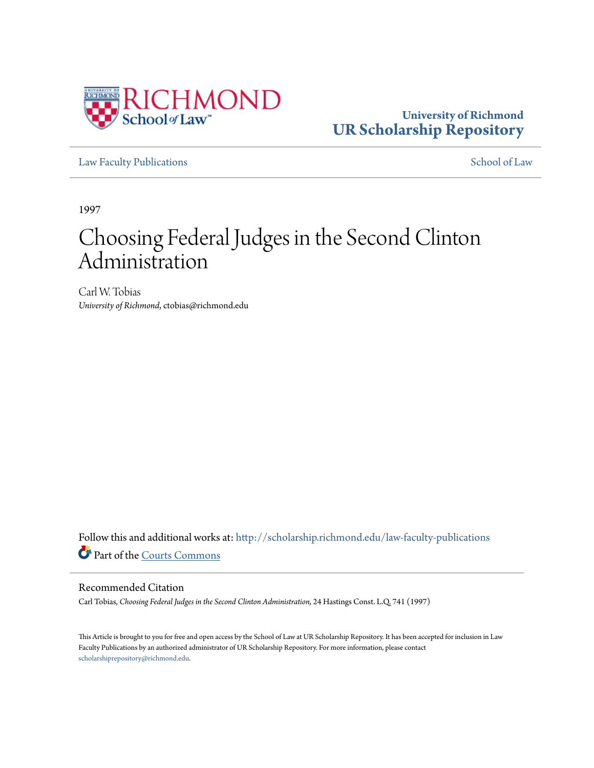

**University of Richmond [UR Scholarship Repository](http://scholarship.richmond.edu?utm_source=scholarship.richmond.edu%2Flaw-faculty-publications%2F678&utm_medium=PDF&utm_campaign=PDFCoverPages)**

[Law Faculty Publications](http://scholarship.richmond.edu/law-faculty-publications?utm_source=scholarship.richmond.edu%2Flaw-faculty-publications%2F678&utm_medium=PDF&utm_campaign=PDFCoverPages) [School of Law](http://scholarship.richmond.edu/law?utm_source=scholarship.richmond.edu%2Flaw-faculty-publications%2F678&utm_medium=PDF&utm_campaign=PDFCoverPages)

1997

# Choosing Federal Judges in the Second Clinton Administration

Carl W. Tobias *University of Richmond*, ctobias@richmond.edu

Follow this and additional works at: [http://scholarship.richmond.edu/law-faculty-publications](http://scholarship.richmond.edu/law-faculty-publications?utm_source=scholarship.richmond.edu%2Flaw-faculty-publications%2F678&utm_medium=PDF&utm_campaign=PDFCoverPages) Part of the [Courts Commons](http://network.bepress.com/hgg/discipline/839?utm_source=scholarship.richmond.edu%2Flaw-faculty-publications%2F678&utm_medium=PDF&utm_campaign=PDFCoverPages)

#### Recommended Citation

Carl Tobias, *Choosing Federal Judges in the Second Clinton Administration,* 24 Hastings Const. L.Q. 741 (1997)

This Article is brought to you for free and open access by the School of Law at UR Scholarship Repository. It has been accepted for inclusion in Law Faculty Publications by an authorized administrator of UR Scholarship Repository. For more information, please contact [scholarshiprepository@richmond.edu.](mailto:scholarshiprepository@richmond.edu)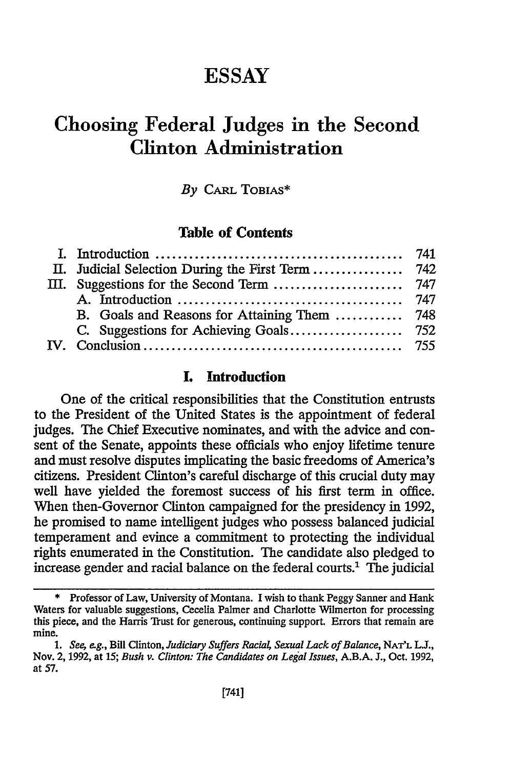# **ESSAY**

# **Choosing Federal Judges in the Second Clinton Administration**

#### *By* CARL TOBIAS\*

#### **Table of Contents**

### **I. Introduction**

One of the critical responsibilities that the Constitution entrusts to the President of the United States is the appointment of federal judges. The Chief Executive nominates, and with the advice and consent of the Senate, appoints these officials who enjoy lifetime tenure and must resolve disputes implicating the basic freedoms of America's citizens. President Clinton's careful discharge of this crucial duty may well have yielded the foremost success of his first term in office. When then-Governor Clinton campaigned for the presidency in 1992, he promised to name intelligent judges who possess balanced judicial temperament and evince a commitment to protecting the individual rights enumerated in the Constitution. The candidate also pledged to increase gender and racial balance on the federal courts.<sup>1</sup> The judicial

<sup>\*</sup> Professor of Law, University of Montana. I wish to thank Peggy Sanner and Hank Waters for valuable suggestions, Cecelia Palmer and Charlotte Wilmerton for processing this piece, and the Harris Trust for generous, continuing support. Errors that remain are mine.

<sup>1.</sup> *See, e.g., Bill Clinton, Judiciary Suffers Racial, Sexual Lack of Balance, NAT'L L.J.,* Nov. 2, 1992, at 15; *Bush v. Clinton: The Candidates on Legal Issues,* AB.A. J., Oct. 1992, at 57.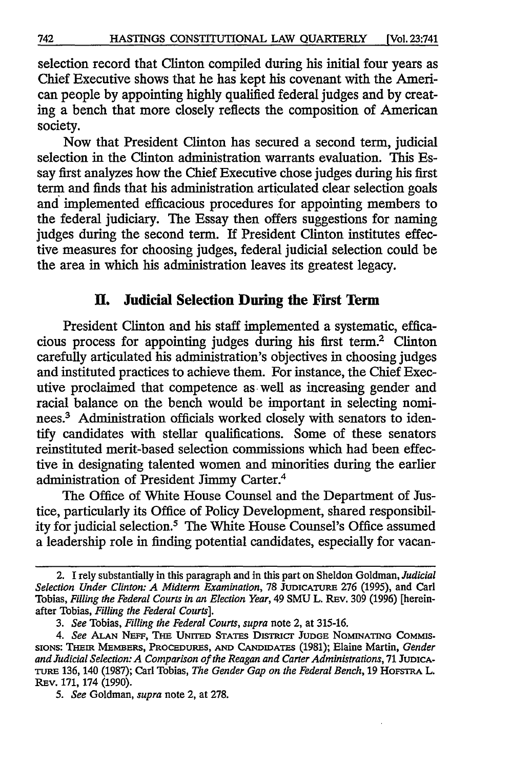selection record that Clinton compiled during his initial four years as Chief Executive shows that he has kept his covenant with the American people by appointing highly qualified federal judges and by creating a bench that more closely reflects the composition of American society.

Now that President Clinton has secured a second term, judicial selection in the Clinton administration warrants evaluation. This Essay first analyzes how the Chief Executive chose judges during his first term and finds that his administration articulated clear selection goals and implemented efficacious procedures for appointing members to the federal judiciary. The Essay then offers suggestions for naming judges during the second term. If President Clinton institutes effective measures for choosing judges, federal judicial selection could be the area in which his administration leaves its greatest legacy.

## II. **Judicial Selection During the First Term**

President Clinton and his staff implemented a systematic, efficacious process for appointing judges during his first term.2 Clinton carefully articulated his administration's objectives in choosing judges and instituted practices to achieve them. For instance, the Chief Executive proclaimed that competence as well as increasing gender and racial balance on the bench would be important in selecting nominees.<sup>3</sup> Administration officials worked closely with senators to identify candidates with stellar qualifications. Some of these senators reinstituted merit-based selection commissions which had been effective in designating talented women and minorities during the earlier administration of President Jimmy Carter.4

The Office of White House Counsel and the Department of Justice, particularly its Office of Policy Development, shared responsibility for judicial selection.5 The White House Counsel's Office assumed a leadership role in finding potential candidates, especially for vacan-

<sup>2.</sup> I rely substantially in this paragraph and in this part on Sheldon Goldman, *Judicial Selection Under Clinton: A Midterm Examination,* 78 JUDICATURE 276 (1995), and Carl Tobias, *Filling the Federal Courts in an Election Year,* 49 SMU L. REv. 309 (1996) [hereinafter Tobias, *Filling the Federal Courts].* 

<sup>3.</sup> *See* Tobias, *Filling the Federal Courts, supra* note 2, at 315-16.

<sup>4.</sup> See ALAN NEFF, THE UNITED STATES DISTRICT JUDGE NOMINATING COMMIS-SIONS: THEIR MEMBERS, PROCEDURES, AND CANDIDATES (1981); Elaine Martin, *Gender and Judicial Selection: A Comparison of the Reagan and Carter Administrations,* 71 JUDICA-TURE 136, 140 (1987); Carl Tobias, *The Gender Gap on the Federal Bench,* 19 HOFSTRA L. REv. 171, 174 (1990).

<sup>5.</sup> *See* Goldman, *supra* note 2, at 278.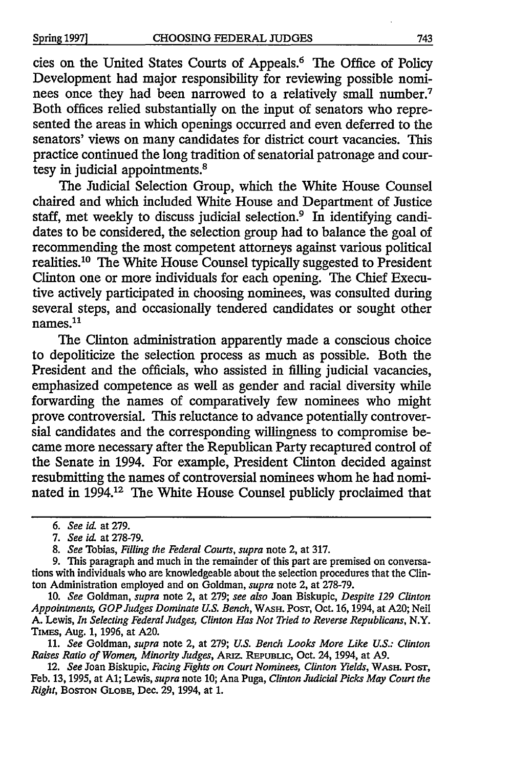cies on the United States Courts of Appeals.<sup>6</sup> The Office of Policy Development had major responsibility for reviewing possible nominees once they had been narrowed to a relatively small number.<sup>7</sup> Both offices relied substantially on the input of senators who represented the areas in which openings occurred and even deferred to the senators' views on many candidates for district court vacancies. This practice continued the long tradition of senatorial patronage and courtesy in judicial appointments.8

The Judicial Selection Group, which the White House Counsel chaired and which included White House and Department of Justice staff, met weekly to discuss judicial selection.<sup>9</sup> In identifying candidates to be considered, the selection group had to balance the goal of recommending the most competent attorneys against various political realities.<sup>10</sup> The White House Counsel typically suggested to President Clinton one or more individuals for each opening. The Chief Executive actively participated in choosing nominees, was consulted during several steps, and occasionally tendered candidates or sought other names.<sup>11</sup>

The Clinton administration apparently made a conscious choice to depoliticize the selection process as much as possible. Both the President and the officials, who assisted in filling judicial vacancies, emphasized competence as well as gender and racial diversity while forwarding the names of comparatively few nominees who might prove controversial. This reluctance to advance potentially controversial candidates and the corresponding willingness to compromise became more necessary after the Republican Party recaptured control of the Senate in 1994. For example, President Clinton decided against resubmitting the names of controversial nominees whom he had nominated in 1994.12 The White House Counsel publicly proclaimed that

<sup>6.</sup> *See id.* at 279.

<sup>7.</sup> *See* id. at 278-79.

<sup>8.</sup> *See* Tobias, *Filling the Federal Courts, supra* note 2, at 317.

<sup>9.</sup> This paragraph and much in the remainder of this part are premised on conversations with individuals who are knowledgeable about the selection procedures that the Clinton Administration employed and on Goldman, *supra* note 2, at 278-79.

<sup>10.</sup> *See* Goldman, *supra* note 2, at 279; *see also* Joan Biskupic, *Despite 129 Clinton Appointments, GOP Judges Dominate U.S. Bench,* WASH. PoST, Oct. 16, 1994, at A20; Neil A. Lewis, *In Selecting Federal Judges, Clinton Has Not Tried to Reverse Republicans,* N.Y. TIMES, Aug. l, 1996, at A20.

<sup>11.</sup> *See* Goldman, *supra* note 2, at 279; *U.S. Bench Looks More Like U.S.: Clinton Raises Ratio of Women, Minority Judges,* ARIZ. REPUBLIC, Oct. 24, 1994, at A9.

<sup>12.</sup> *See* Joan Biskupic, *Facing Fights on Court Nominees, Clinton Yields,* WASH. PoST, Feb. 13, 1995, at Al; Lewis, *supra* note 10; Ana Puga, *Clinton Judicial Picks May Court the Right,* BOSTON GLOBE, Dec. 29, 1994, at 1.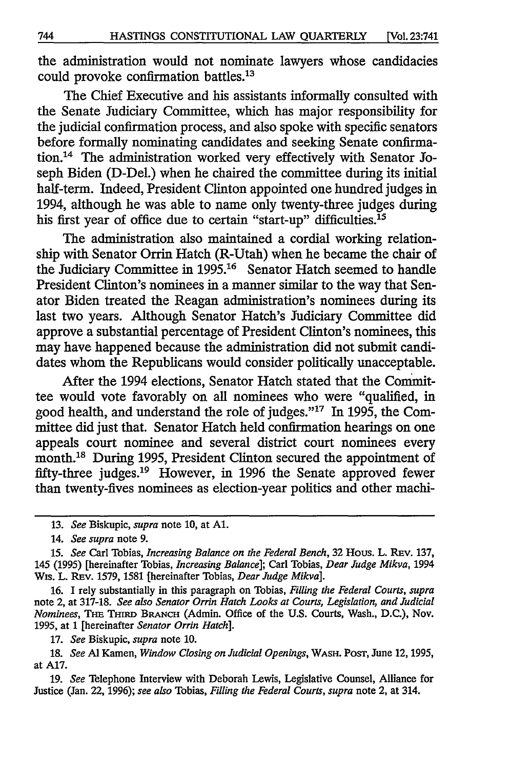the administration would not nominate lawyers whose candidacies could provoke confirmation battles.13

The Chief Executive and his assistants informally consulted with the Senate Judiciary Committee, which has major responsibility for the judicial confirmation process, and also spoke with specific senators before formally nominating candidates and seeking Senate confirmation.14 The administration worked very effectively with Senator Joseph Biden (D-Del.) when he chaired the committee during its initial half-term. Indeed, President Clinton appointed one hundred judges in 1994, although he was able to name only twenty-three judges during his first year of office due to certain "start-up" difficulties.<sup>15</sup>

The administration also maintained a cordial working relationship with Senator Orrin Hatch (R-Utah) when he became the chair of the Judiciary Committee in 1995.16 Senator Hatch seemed to handle President Clinton's nominees in a manner similar to the way that Senator Biden treated the Reagan administration's nominees during its last two years. Although Senator Hatch's Judiciary Committee did approve a substantial percentage of President Clinton's nominees, this may have happened because the administration did not submit candidates whom the Republicans would consider politically unacceptable.

After the 1994 elections, Senator Hatch stated that the Committee would vote favorably on all nominees who were "qualified, in good health, and understand the role of judges." $17$  In 1995, the Committee did just that. Senator Hatch held confirmation hearings on one appeals court nominee and several district court nominees every month.<sup>18</sup> During 1995, President Clinton secured the appointment of fifty-three judges.19 However, in 1996 the Senate approved fewer than twenty-fives nominees as election-year politics and other machi-

16. I rely substantially in this paragraph on Tobias, *Filling the Federal Courts, supra*  note 2, at 317-18. *See also Senator Orrin Hatch Looks at Courts, Legislation, and Judicial Nominees,* THE THIRD BRANCH (Admin. Office of the U.S. Courts, Wash., D.C.), Nov. 1995, at 1 [hereinafter *Senator Orrin Hatch].* 

17. *See* Biskupic, *supra* note 10.

18. *See* Al Kamen, *Window Closing on Judicial Openings,* WASH. PoST, June 12, 1995, at A17.

19. *See* Telephone Interview with Deborah Lewis, Legislative Counsel, Alliance for Justice (Jan. 22, 1996); *see also* Tobias, *Filling the Federal Courts, supra* note 2, at 314.

<sup>13.</sup> *See* Biskupic, *supra* note 10, at Al.

<sup>14.</sup> *See supra* note 9.

<sup>15.</sup> *See* Carl Tobias, *Increasing Balance on the Federal Bench,* 32 Hous. L. REv. 137, 145 (1995) [hereinafter Tobias, *Increasing Balance];* Carl Tobias, *Dear Judge Mikva,* 1994 Wis. L. REv. 1579, 1581 {hereinafter Tobias, *Dear Judge Mikva].*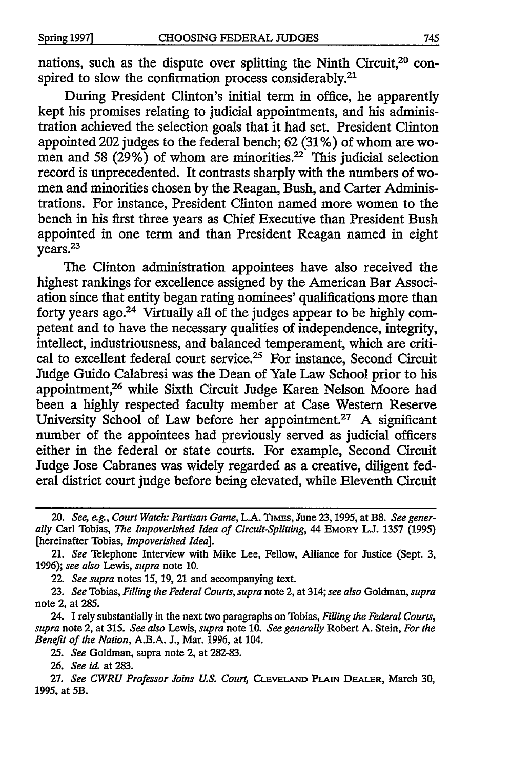nations, such as the dispute over splitting the Ninth Circuit,<sup>20</sup> conspired to slow the confirmation process considerably.<sup>21</sup>

During President Clinton's initial term in office, he apparently kept his promises relating to judicial appointments, and his administration achieved the selection goals that it had set. President Clinton appointed 202 judges to the federal bench; 62 (31 % ) of whom are women and 58  $(29\%)$  of whom are minorities.<sup>22</sup> This judicial selection record is unprecedented. It contrasts sharply with the numbers of women and minorities chosen by the Reagan, Bush, and Carter Administrations. For instance, President Clinton named more women to the bench in his first three years as Chief Executive than President Bush appointed in one term and than President Reagan named in eight years.<sup>23</sup>

The Clinton administration appointees have also received the highest rankings for excellence assigned by the American Bar Association since that entity began rating nominees' qualifications more than forty years ago.<sup>24</sup> Virtually all of the judges appear to be highly competent and to have the necessary qualities of independence, integrity, intellect, industriousness, and balanced temperament, which are critical to excellent federal court service.<sup>25</sup> For instance, Second Circuit Judge Guido Calabresi was the Dean of Yale Law School prior to his appointment,26 while Sixth Circuit Judge Karen Nelson Moore had been a highly respected faculty member at Case Western Reserve University School of Law before her appointment.<sup>27</sup> A significant number of the appointees had previously served as judicial officers either in the federal or state courts. For example, Second Circuit Judge Jose Cabranes was widely regarded as a creative, diligent federal district court judge before being elevated, while Eleventh Circuit

22. *See supra* notes 15, 19, 21 and accompanying text.

24. I rely substantially in the next two paragraphs on Tobias, *Filling the Federal Courts, supra* note 2, at 315. *See also* Lewis, *supra* note 10. *See generally* Robert A. Stein, *For the Benefit of the Nation,* A.B.A. J., Mar. 1996, at 104.

25. *See* Goldman, supra note 2, at 282-83.

26. *See id.* at 283.

27. *See CWRU Professor Joins U.S. Court,* CLEVELAND PLAIN DEALER, March 30, 1995, at SB.

<sup>20.</sup> *See, e.g., Court Watch: Partisan Game,* L.A. TIMES, June 23, 1995, at BB. *See generally* Carl Tobias, *The Impoverished Idea of Circuit-Splitting,* 44 EMORY LJ. 1357 (1995) [hereinafter Tobias, *Impoverished Idea].* 

<sup>21.</sup> *See* Telephone Interview with Mike Lee, Fellow, Alliance for Justice (Sept. 3, 1996); *see also* Lewis, *supra* note 10.

<sup>23.</sup> *See* Tobias, *Filling the Federal Courts, supra* note 2, at 314; *see also* Goldman, *supra*  note 2, at 285.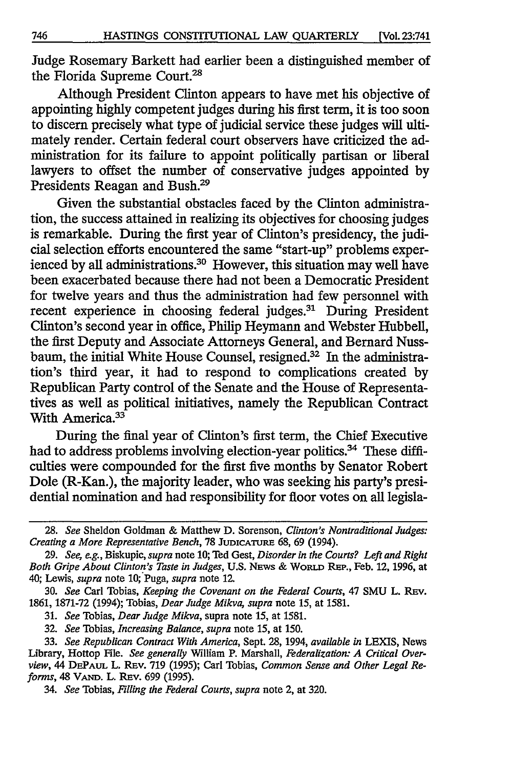Judge Rosemary Barkett had earlier been a distinguished member of the Florida Supreme Court.<sup>28</sup>

Although President Clinton appears to have met his objective of appointing highly competent judges during his first term, it is too soon to discern precisely what type of judicial service these judges will ultimately render. Certain federal court observers have criticized the administration for its failure to appoint politically partisan or liberal lawyers to offset the number of conservative judges appointed by Presidents Reagan and Bush.29

Given the substantial obstacles faced by the Clinton administration, the success attained in realizing its objectives for choosing judges is remarkable. During the first year of Clinton's presidency, the judicial selection efforts encountered the same "start-up" problems experienced by all administrations.<sup>30</sup> However, this situation may well have been exacerbated because there had not been a Democratic President for twelve years and thus the administration had few personnel with recent experience in choosing federal judges.31 During President Clinton's second year in office, Philip Heymann and Webster Hubbell, the first Deputy and Associate Attorneys General, and Bernard Nussbaum, the initial White House Counsel, resigned.<sup>32</sup> In the administration's third year, it had to respond to complications created by Republican Party control of the Senate and the House of Representatives as well as political initiatives, namely the Republican Contract With America.<sup>33</sup>

During the final year of Clinton's first term, the Chief Executive had to address problems involving election-year politics.<sup>34</sup> These difficulties were compounded for the first five months by Senator Robert Dole (R-Kan.), the majority leader, who was seeking his party's presidential nomination and had responsibility for floor votes on all legisla-

31. *See* Tobias, *Dear Judge Mikva,* supra note 15, at 1581.

32. *See* Tobias, *Increasing Balance, supra* note 15, at 150.

<sup>28.</sup> *See* Sheldon Goldman & Matthew D. Sorenson, *Clinton's Nontraditional Judges: Creating a More Representative Bench,* 78 JUDICATURE 68, 69 (1994).

<sup>29.</sup> *See, e.g.,* Biskupic, *supra* note 10; Ted Gest, *Disorder in the Courts? Left and Right Both Gripe About Clinton's Taste in Judges,* U.S. NEWS & WoRLD REP., Feb. 12, 1996, at 40; Lewis, *supra* note 10; Puga, *supra* note 12.

<sup>30.</sup> *See* Carl Tobias, *Keeping the Covenant on the Federal Courts,* 47 SMU L. REv. 1861, 1871-72 (1994); Tobias, *Dear Judge Mikva, supra* note 15, at 1581.

<sup>33.</sup> *See Republican Contract With America,* Sept. 28, 1994, *available in* LEXIS, News Library, Hottop File. *See generally* William P. Marshall, *Federalization: A Critical Overview,* 44 DEPAUL L. REv. 719 (1995); Carl Tobias, *Common Sense and Other Legal Reforms,* 48 V AND. L. REv. 699 (1995).

<sup>34.</sup> *See* Tobias, *Filling the Federal Courts, supra* note 2, at 320.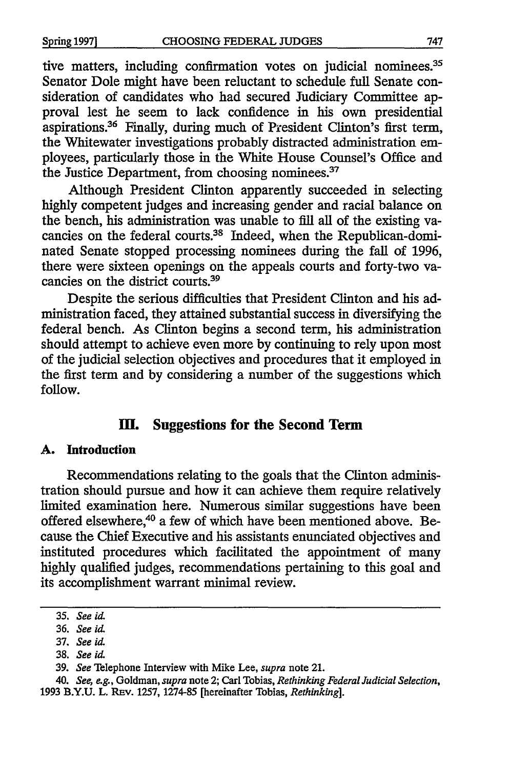tive matters, including confirmation votes on judicial nominees.<sup>35</sup> Senator Dole might have been reluctant to schedule full Senate consideration of candidates who had secured Judiciary Committee approval lest he seem to lack confidence in his own presidential aspirations.36 Finally, during much of President Clinton's first term, the Whitewater investigations probably distracted administration employees, particularly those in the White House Counsel's Office and the Justice Department, from choosing nominees.<sup>37</sup>

Although President Clinton apparently succeeded in selecting highly competent judges and increasing gender and racial balance on the bench, his administration was unable to fill all of the existing vacancies on the federal courts.<sup>38</sup> Indeed, when the Republican-dominated Senate stopped processing nominees during the fall of 1996, there were sixteen openings on the appeals courts and forty-two vacancies on the district courts.<sup>39</sup>

Despite the serious difficulties that President Clinton and his administration faced, they attained substantial success in diversifying the federal bench. As Clinton begins a second term, his administration should attempt to achieve even more by continuing to rely upon most of the judicial selection objectives and procedures that it employed in the first term and by considering a number of the suggestions which follow.

## **ID. Suggestions for the Second Term**

#### **A. Introduction**

Recommendations relating to the goals that the Clinton administration should pursue and how it can achieve them require relatively limited examination here. Numerous similar suggestions have been offered elsewhere,<sup>40</sup> a few of which have been mentioned above. Because the Chief Executive and his assistants enunciated objectives and instituted procedures which facilitated the appointment of many highly qualified judges, recommendations pertaining to this goal and its accomplishment warrant minimal review.

<sup>35.</sup> *See id.* 

<sup>36.</sup> *See* id.

<sup>37.</sup> *See* id.

<sup>38.</sup> *See* id.

<sup>39.</sup> *See* Telephone Interview with Mike Lee, *supra* note 21.

<sup>40.</sup> *See, e.g.,* Goldman, *supra* note 2; Carl Tobias, *Rethinking Federal Judicial Selection,*  1993 B.Y.U. L. REv. 1257, 1274-85 [hereinafter Tobias, *Rethinking].*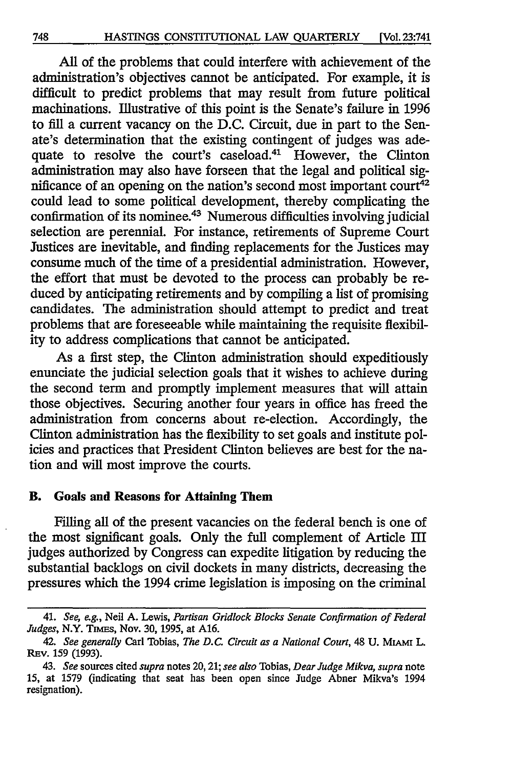All of the problems that could interfere with achievement of the administration's objectives cannot be anticipated. For example, it is difficult to predict problems that may result from future political machinations. Illustrative of this point is the Senate's failure in 1996 to fill a current vacancy on the D.C. Circuit, due in part to the Senate's determination that the existing contingent of judges was adequate to resolve the court's caseload.<sup>41</sup> However, the Clinton administration may also have forseen that the legal and political significance of an opening on the nation's second most important court<sup>42</sup> could lead to some political development, thereby complicating the confirmation of its nominee.43 Numerous difficulties involving judicial selection are perennial. For instance, retirements of Supreme Court Justices are inevitable, and finding replacements for the Justices may consume much of the time of a presidential administration. However, the effort that must be devoted to the process can probably be reduced by anticipating retirements and by compiling a list of promising candidates. The administration should attempt to predict and treat problems that are foreseeable while maintaining the requisite flexibility to address complications that cannot be anticipated.

As a first step, the Clinton administration should expeditiously enunciate the judicial selection goals that it wishes to achieve during the second term and promptly implement measures that will attain those objectives. Securing another four years in office has freed the administration from concerns about re-election. Accordingly, the Clinton administration has the flexibility to set goals and institute policies and practices that President Clinton believes are best for the nation and will most improve the courts.

#### **B. Goals and Reasons for Attaining Them**

Filling all of the present vacancies on the federal bench is one of the most significant goals. Only the full complement of Article III judges authorized by Congress can expedite litigation by reducing the substantial backlogs on civil dockets in many districts, decreasing the pressures which the 1994 crime legislation is imposing on the criminal

<sup>41.</sup> *See, e.g.,* Neil A. Lewis, *Partisan Gridlock Blocks Senate Confirmation of Federal Judges,* N.Y. TIMES, Nov. 30, 1995, at A16.

<sup>42.</sup> *See generally* Carl Tobias, *The D.C. Circuit as a National Court,* 48 U. MIAMI L. REv. 159 (1993).

<sup>43.</sup> *See* sources cited *supra* notes 20, 21; *see also* Tobias, *Dear Judge Mikva, supra* note 15, at 1579 (indicating that seat has been open since Judge Abner Mikva's 1994 resignation).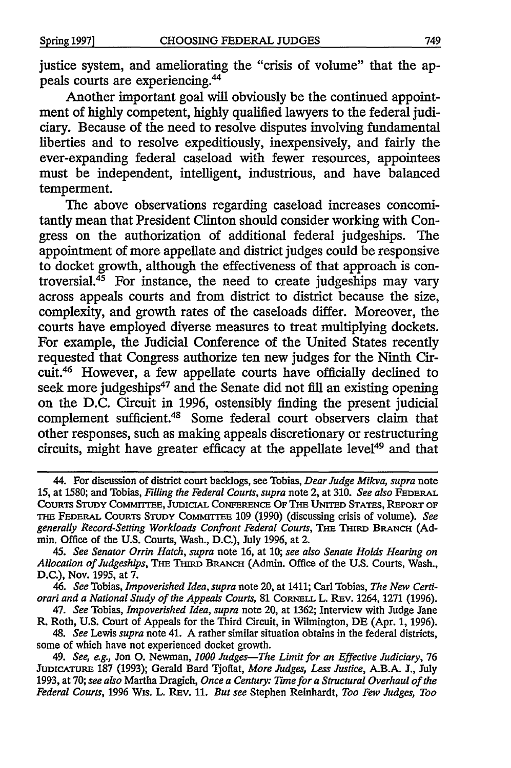justice system, and ameliorating the "crisis of volume" that the appeals courts are experiencing.44

Another important goal will obviously be the continued appointment of highly competent, highly qualified lawyers to the federal judiciary. Because of the need to resolve disputes involving fundamental liberties and to resolve expeditiously, inexpensively, and fairly the ever-expanding federal caseload with fewer resources, appointees must be independent, intelligent, industrious, and have balanced temperment.

The above observations regarding caseload increases concomitantly mean that President Clinton should consider working with Congress on the authorization of additional federal judgeships. The appointment of more appellate and district judges could be responsive to docket growth, although the effectiveness of that approach is controversial. $45$  For instance, the need to create judgeships may vary across appeals courts and from district to district because the size, complexity, and growth rates of the caseloads differ. Moreover, the courts have employed diverse measures to treat multiplying dockets. For example, the Judicial Conference of the United States recently requested that Congress authorize ten new judges for the Ninth Circuit.46 However, a few appellate courts have officially declined to seek more judgeships<sup>47</sup> and the Senate did not fill an existing opening on the D.C. Circuit in 1996, ostensibly finding the present judicial complement sufficient.48 Some federal court observers claim that other responses, such as making appeals discretionary or restructuring circuits, might have greater efficacy at the appellate level<sup>49</sup> and that

46. *See* Tobias, *Impoverished Idea, supra* note 20, at 1411; Carl Tobias, *The New Certiorari and a National Study of the Appeals Courts,* 81 CoRNELL L. REv. 1264, 1271 (1996).

47. *See* Tobias, *Impoverished Idea, supra* note 20, at 1362; Interview with Judge Jane R. Roth, U.S. Court of Appeals for the Third Circuit, in Wilmington, DE (Apr. 1, 1996).

48. *See* Lewis *supra* note 41. A rather similar situation obtains in the federal districts, some of which have not experienced docket growth.

49. *See, e.g.,* Jon 0. Newman, *1000 Judges-The Limit for an Effective Judiciary, 16*  JUDICATURE 187 (1993); Gerald Bard Tjoflat, *More Judges, Less Justice,* A.B.A. J., July 1993, at 70; *see also* Martha Dragich, *Once a Century: Tune for a Structural Overhaul of the Federal Courts,* 1996 W1s. L. REv. 11. *But see* Stephen Reinhardt, *Too Few Judges, Too* 

<sup>44.</sup> For discussion of district court backlogs, see Tobias, *Dear Judge Mikva, supra* note 15, at 1580; and Tobias, *Filling the Federal Courts, supra* note 2, at 310. *See also* FEDERAL CoURTS STUDY CoMMITIEE, JUDICIAL CoNFERENCE OF THE UNITED STATES, REPORT OF THE FEDERAL CouRTS STUDY CoMMITTEE 109 (1990) (discussing crisis of volume). *See generally Record-Setting Workloads Confront Federal Courts,* THE THIRD BRANCH (Admin. Office of the U.S. Courts, Wash., D.C.), July 1996, at 2.<br>45. See Senator Orrin Hatch, supra note 16, at 10; see also Senate Holds Hearing on

Allocation of Judgeships, THE THIRD BRANCH (Admin. Office of the U.S. Courts, Wash., D.C.), Nov. 1995, at 7.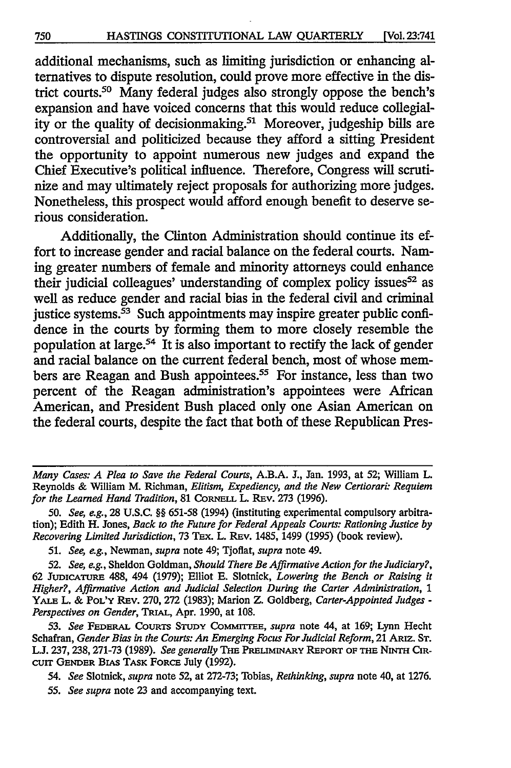additional mechanisms, such as limiting jurisdiction or enhancing alternatives to dispute resolution, could prove more effective in the district courts.<sup>50</sup> Many federal judges also strongly oppose the bench's expansion and have voiced concerns that this would reduce collegiality or the quality of decision making.<sup>51</sup> Moreover, judgeship bills are controversial and politicized because they afford a sitting President the opportunity to appoint numerous new judges and expand the Chief Executive's political influence. Therefore, Congress will scrutinize and may ultimately reject proposals for authorizing more judges. Nonetheless, this prospect would afford enough benefit to deserve serious consideration.

Additionally, the Clinton Administration should continue its effort to increase gender and racial balance on the federal courts. Naming greater numbers of female and minority attorneys could enhance their judicial colleagues' understanding of complex policy issues  $52$  as well as reduce gender and racial bias in the federal civil and criminal justice systems. $\overline{53}$  Such appointments may inspire greater public confidence in the courts by forming them to more closely resemble the population at large.<sup>54</sup> It is also important to rectify the lack of gender and racial balance on the current federal bench, most of whose members are Reagan and Bush appointees.<sup>55</sup> For instance, less than two percent of the Reagan administration's appointees were African American, and President Bush placed only one Asian American on the federal courts, despite the fact that both of these Republican Pres-

53. *See* FEDERAL CoURTS STUDY CoMMrITEE, *supra* note 44, at 169; Lynn Hecht Schafran, *Gender Bias in the Courts: An Emerging Focus For Judicial Reform,* 21 ARIZ. ST. L.J. 237, 238, 271-73 (1989). *See generally* THE PRELIMINARY REPORT OF THE NINTH CIR-CUIT GENDER BIAS TASK FORCE July (1992).

54. *See* Slotnick, *supra* note 52, at 272-73; Tobias, *Rethinking, supra* note 40, at 1276.

55. *See supra* note 23 and accompanying text.

*Many Cases: A Plea to Save the Federal Courts,* A.B.A. J., Jan. 1993, at 52; William L. Reynolds & William M. Richman, *Elitism, Expediency, and the New Certiorari: Requiem for the Learned Hand Tradition,* 81 CoRNELL L. REv. 273 (1996).

*<sup>50.</sup> See, e.g.,* 28 U.S.C. §§ 651-58 (1994) (instituting experimental compulsory arbitration); Edith H. Jones, *Back to the Future for Federal Appeals Courts: Rationing Justice by Recovering Limited Jurisdiction, 73 Tex. L. Rev. 1485, 1499 (1995) (book review).* 

<sup>51.</sup> *See, e.g.,* Newman, *supra* note 49; Tjoflat, *supra* note 49.

<sup>52.</sup> *See, e.g.,* Sheldon Goldman, *Should There Be Affirmative Action for the Judiciary?,*  62 JUDICATURE 488, 494 (1979); Elliot E. Slotnick, *Lowering the Bench or Raising it Higher?, Affirmative Action and Judicial Selection During the Carter Administration,* 1 YALE L. & PoL'Y REv. 270, 272 (1983); Marion Z. Goldberg, *Carter-Appointed Judges* - *Perspectives on Gender,* TRIAL, Apr. 1990, at 108.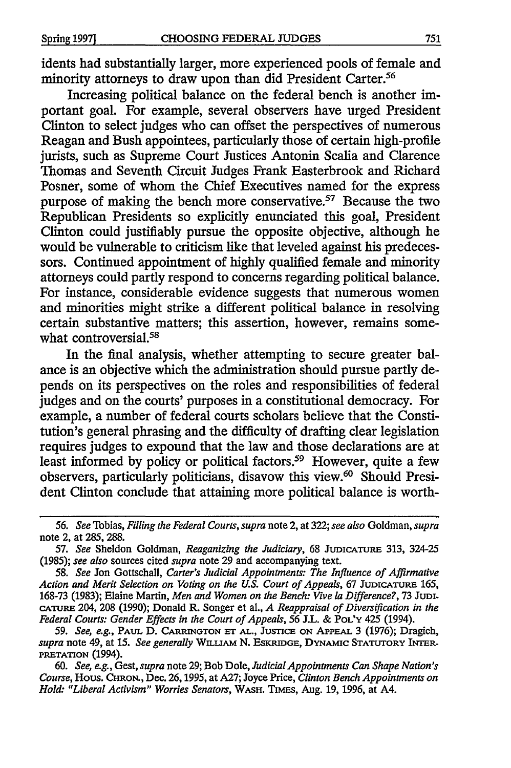idents had substantially larger, more experienced pools of female and minority attorneys to draw upon than did President Carter.<sup>56</sup>

Increasing political balance on the federal bench is another important goal. For example, several observers have urged President Clinton to select judges who can offset the perspectives of numerous Reagan and Bush appointees, particularly those of certain high-profile jurists, such as Supreme Court Justices Antonin Scalia and Clarence Thomas and Seventh Circuit Judges Frank Easterbrook and Richard Posner, some of whom the Chief Executives named for the express purpose of making the bench more conservative.57 Because the two Republican Presidents so explicitly enunciated this goal, President Clinton could justifiably pursue the opposite objective, although he would be vulnerable to criticism like that leveled against his predecessors. Continued appointment of highly qualified female and minority attorneys could partly respond to concerns regarding political balance. For instance, considerable evidence suggests that numerous women and minorities might strike a different political balance in resolving certain substantive matters; this assertion, however, remains somewhat controversial.<sup>58</sup>

In the final analysis, whether attempting to secure greater balance is an objective which the administration should pursue partly depends on its perspectives on the roles and responsibilities of federal judges and on the courts' purposes in a constitutional democracy. For example, a number of federal courts scholars believe that the Constitution's general phrasing and the difficulty of drafting clear legislation requires judges to expound that the law and those declarations are at least informed by policy or political factors.<sup>59</sup> However, quite a few observers, particularly politicians, disavow this view.<sup>60</sup> Should President Clinton conclude that attaining more political balance is worth-

*<sup>56.</sup> See* Tobias, *Filling the Federal Courts, supra* note 2, at 322; *see also* Goldman, *supra*  note 2, at 285, 288.

<sup>57.</sup> *See* Sheldon Goldman, *Reaganizing the Judiciary,* 68 JUDICATURE 313, 324-25 (1985); *see also* sources cited *supra* note 29 and accompanying text.

<sup>58.</sup> *See* Jon Gottschall, *Carter's Judicial Appointments: The Influence of Affirmative Action and Merit Selection on Voting on the U.S. Court of Appeals,* 67 JUDICATURE 165, 168-73 (1983); Elaine Martin, *Men and Women on the Bench: Vive* la *Difference?,* 73 JUDI-CATURE 204, 208 (1990); Donald R. Songer et al., *A Reappraisal of Diversification in the Federal Courts: Gender Effects in the Court of Appeals, 56* J.L. & PoL'Y 425 (1994).

<sup>59.</sup> *See, e.g.,* PAUL D. CARRINGTON ET AL., JUSTICE ON APPEAL 3 (1976); Dragich, *supra* note 49, at 15. *See generally* WILLIAM N. EsKRIDGE, DYNAMIC STATUTORY INTER-PRETATION (1994).

<sup>60.</sup> *See, e.g.,* Gest, *supra* note 29; Bob Dole, *Judicial Appointments Can Shape Nation's Course,* Hous. CHRoN., Dec. 26, 1995, at A27; Joyce Price, *Clinton Bench Appointments on Hold: "Liberal Activism" Worries Senators,* WASH. TIMES, Aug. 19, 1996, at A4.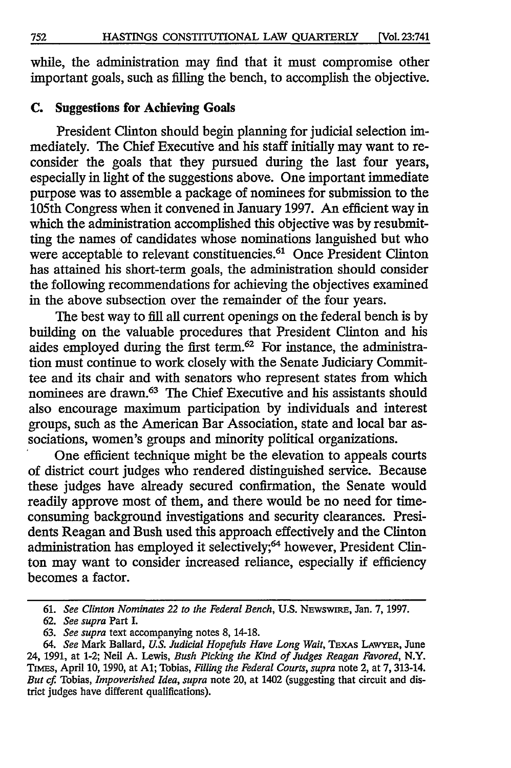while, the administration may find that it must compromise other important goals, such as filling the bench, to accomplish the objective.

#### **C. Suggestions for Achieving Goals**

President Clinton should begin planning for judicial selection immediately. The Chief Executive and his staff initially may want to reconsider the goals that they pursued during the last four years, especially in light of the suggestions above. One important immediate purpose was to assemble a package of nominees for submission to the 105th Congress when it convened in January 1997. An efficient way in which the administration accomplished this objective was by resubmitting the names of candidates whose nominations languished but who were acceptable to relevant constituencies.<sup>61</sup> Once President Clinton has attained his short-term goals, the administration should consider the following recommendations for achieving the objectives examined in the above subsection over the remainder of the four years.

The best way to fill all current openings on the federal bench is by building on the valuable procedures that President Clinton and his aides employed during the first term.<sup>62</sup> For instance, the administration must continue to work closely with the Senate Judiciary Committee and its chair and with senators who represent states from which nominees are drawn.<sup>63</sup> The Chief Executive and his assistants should also encourage maximum participation by individuals and interest groups, such as the American Bar Association, state and local bar associations, women's groups and minority political organizations.

One efficient technique might be the elevation to appeals courts of district court judges who rendered distinguished service. Because these judges have already secured confirmation, the Senate would readily approve most of them, and there would be no need for timeconsuming background investigations and security clearances. Presidents Reagan and Bush used this approach effectively and the Clinton administration has employed it selectively;<sup>64</sup> however, President Clinton may want to consider increased reliance, especially if efficiency becomes a factor.

<sup>61.</sup> *See Clinton Nominates 22 to the Federal Bench,* U.S. NEWSWIRE, Jan. 7, 1997.

<sup>62.</sup> *See supra* Part I.

<sup>63.</sup> *See supra* text accompanying notes 8, 14-18.

<sup>64.</sup> *See* Mark Ballard, *U.S. Judicial Hopefuls Have Long Wait,* TEXAS LAWYER, June 24, 1991, at 1-2; Neil A. Lewis, *Bush Picking the Kind of Judges Reagan Favored,* N.Y. TIMES, April 10, 1990, at Al; Tobias, *Filling the Federal Courts, supra* note 2, at 7, 313-14. *But cf.* Tobias, *Impoverished Idea, supra* note 20, at 1402 (suggesting that circuit and district judges have different qualifications).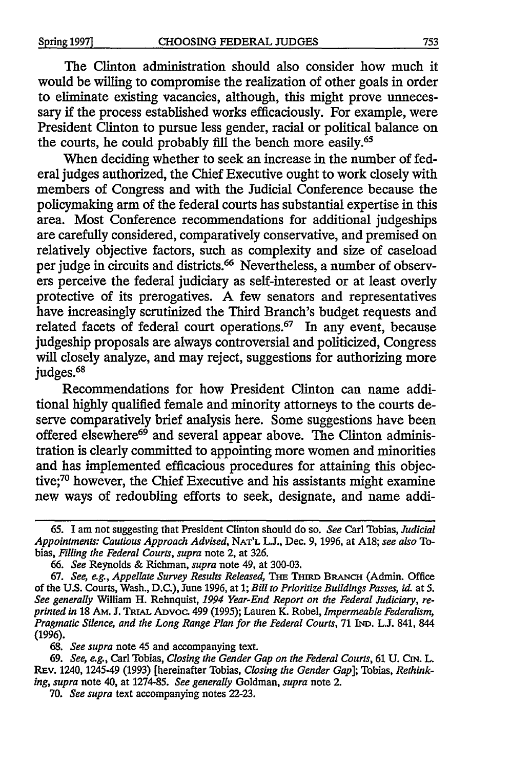The Clinton administration should also consider how much it would be willing to compromise the realization of other goals in order to eliminate existing vacancies, although, this might prove unnecessary if the process established works efficaciously. For example, were President Clinton to pursue less gender, racial or political balance on the courts, he could probably fill the bench more easily.<sup>65</sup>

When deciding whether to seek an increase in the number of federal judges authorized, the Chief Executive ought to work closely with members of Congress and with the Judicial Conference because the policymaking arm of the federal courts has substantial expertise in this area. Most Conference recommendations for additional judgeships are carefully considered, comparatively conservative, and premised on relatively objective factors, such as complexity and size of caseload per judge in circuits and districts.<sup>66</sup> Nevertheless, a number of observers perceive the federal judiciary as self-interested or at least overly protective of its prerogatives. A few senators and representatives have increasingly scrutinized the Third Branch's budget requests and related facets of federal court operations.<sup>67</sup> In any event, because judgeship proposals are always controversial and politicized, Congress will closely analyze, and may reject, suggestions for authorizing more judges.<sup>68</sup>

Recommendations for how President Clinton can name additional highly qualified female and minority attorneys to the courts deserve comparatively brief analysis here. Some suggestions have been offered elsewhere<sup>69</sup> and several appear above. The Clinton administration is clearly committed to appointing more women and minorities and has implemented efficacious procedures for attaining this objective;70 however, the Chief Executive and his assistants might examine new ways of redoubling efforts to seek, designate, and name addi-

68. *See supra* note 45 and accompanying text.

<sup>65.</sup> I am not suggesting that President Clinton should do so. *See* Carl Tobias, *Judicial Appointments: Cautious Approach Advised,* NAT'L L.J., Dec. 9, 1996, at A18; *see also* Tobias, *Filling the Federal Courts, supra* note 2, at 326.

<sup>66.</sup> *See* Reynolds & Richman, *supra* note 49, at 300-03.

<sup>67.</sup> See, e.g., Appellate Survey Results Released, THE THIRD BRANCH (Admin. Office of the U.S. Courts, Wash., D.C.), June 1996, at 1; *Bill to Prioritize Buildings Passes, id.* at *5. See generally* William H. Rehnquist, *1994 Year-End Report on the Federal Judiciary, reprinted in* 18 AM. J. TRIAL Aovoc. 499 (1995); Lauren K. Robel, *Impermeable Federalism, Pragmatic Silence, and the Long Range Plan for the Federal Courts,* 71 IND. L.J. 841, 844 (1996).

<sup>69.</sup> *See, e.g.,* Carl Tobias, *Closing the Gender Gap on the Federal Courts,* 61 U. CIN. L. REv. 1240, 1245-49 (1993) [hereinafter Tobias, *Closing the Gender Gap];* Tobias, *Rethinking, supra* note 40, at 1274-85. *See generally* Goldman, *supra* note 2.

<sup>70.</sup> *See supra* text accompanying notes 22-23.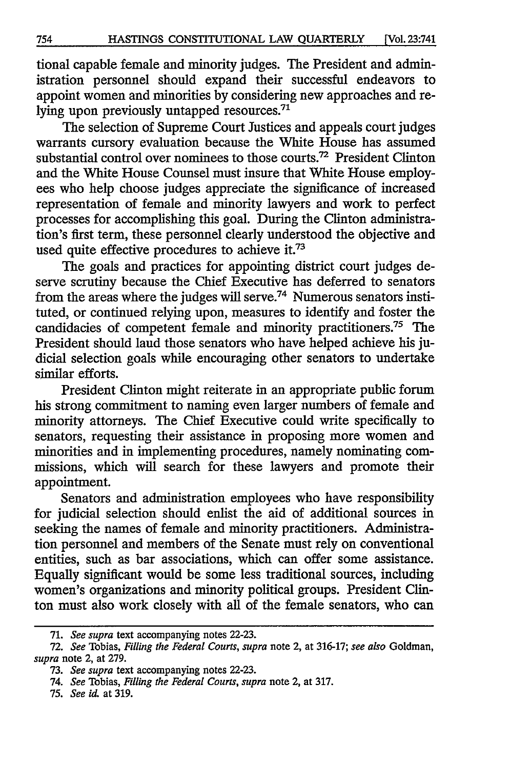tional capable female and minority judges. The President and administration personnel should expand their successful endeavors to appoint women and minorities by considering new approaches and relying upon previously untapped resources.<sup>71</sup>

The selection of Supreme Court Justices and appeals court judges warrants cursory evaluation because the White House has assumed substantial control over nominees to those courts.<sup>72</sup> President Clinton and the White House Counsel must insure that White House employees who help choose judges appreciate the significance of increased representation of female and minority lawyers and work to perfect processes for accomplishing this goal. During the Clinton administration's first term, these personnel clearly understood the objective and used quite effective procedures to achieve it.<sup>73</sup>

The goals and practices for appointing district court judges deserve scrutiny because the Chief Executive has deferred to senators from the areas where the judges will serve.<sup>74</sup> Numerous senators instituted, or continued relying upon, measures to identify and foster the candidacies of competent female and minority practitioners.75 The President should laud those senators who have helped achieve his judicial selection goals while encouraging other senators to undertake similar efforts.

President Clinton might reiterate in an appropriate public forum his strong commitment to naming even larger numbers of female and minority attorneys. The Chief Executive could write specifically to senators, requesting their assistance in proposing more women and minorities and in implementing procedures, namely nominating commissions, which will search for these lawyers and promote their appointment.

Senators and administration employees who have responsibility for judicial selection should enlist the aid of additional sources in seeking the names of female and minority practitioners. Administration personnel and members of the Senate must rely on conventional entities, such as bar associations, which can offer some assistance. Equally significant would be some less traditional sources, including women's organizations and minority political groups. President Clinton must also work closely with all of the female senators, who can

<sup>71.</sup> *See supra* text accompanying notes 22-23.

<sup>72.</sup> *See* Tobias, *Filling the Federal Courts, supra* note 2, at 316-17; *see also* Goldman, *supra* note 2, at 279.

<sup>73.</sup> *See supra* text accompanying notes 22-23.

<sup>74.</sup> *See* Tobias, *Filling the Federal Courts, supra* note 2, at 317.

<sup>75.</sup> *See* id. at 319.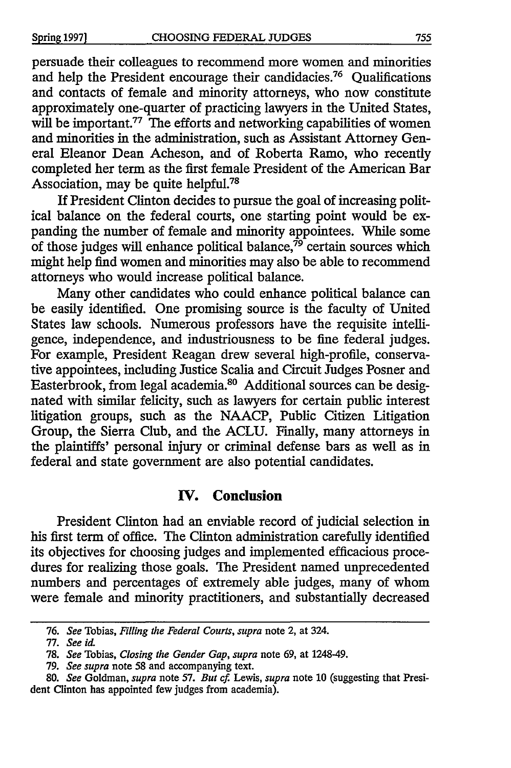persuade their colleagues to recommend more women and minorities and help the President encourage their candidacies.<sup>76</sup> Qualifications and contacts of female and minority attorneys, who now constitute approximately one-quarter of practicing lawyers in the United States, will be important.<sup>77</sup> The efforts and networking capabilities of women and minorities in the administration, such as Assistant Attorney General Eleanor Dean Acheson, and of Roberta Ramo, who recently completed her term as the first female President of the American Bar Association, may be quite helpful.<sup>78</sup>

If President Clinton decides to pursue the goal of increasing political balance on the federal courts, one starting point would be expanding the number of female and minority appointees. While some of those judges will enhance political balance,<sup>79</sup> certain sources which might help find women and minorities may also be able to recommend attorneys who would increase political balance.

Many other candidates who could enhance political balance can be easily identified. One promising source is the faculty of United States law schools. Numerous professors have the requisite intelligence, independence, and industriousness to be fine federal judges. For example, President Reagan drew several high-profile, conservative appointees, including Justice Scalia and Circuit Judges Posner and Easterbrook, from legal academia.<sup>80</sup> Additional sources can be designated with similar felicity, such as lawyers for certain public interest litigation groups, such as the NAACP, Public Citizen Litigation Group, the Sierra Club, and the ACLU. Finally, many attorneys in the plaintiffs' personal injury or criminal defense bars as well as in federal and state government are also potential candidates.

#### IV. **Conclusion**

President Clinton had an enviable record of judicial selection in his first term of office. The Clinton administration carefully identified its objectives for choosing judges and implemented efficacious procedures for realizing those goals. The President named unprecedented numbers and percentages of extremely able judges, many of whom were female and minority practitioners, and substantially decreased

<sup>76.</sup> *See* Tobias, *Filling the Federal Courts, supra* note 2, at 324.

<sup>77.</sup> *See id.* 

<sup>78.</sup> *See* Tobias, *Closing the Gender Gap, supra* note 69, at 1248-49.

<sup>79.</sup> *See supra* note 58 and accompanying text.

<sup>80.</sup> *See* Goldman, *supra* note 57. *But cf.* Lewis, *supra* note 10 (suggesting that President Clinton has appointed few judges from academia).